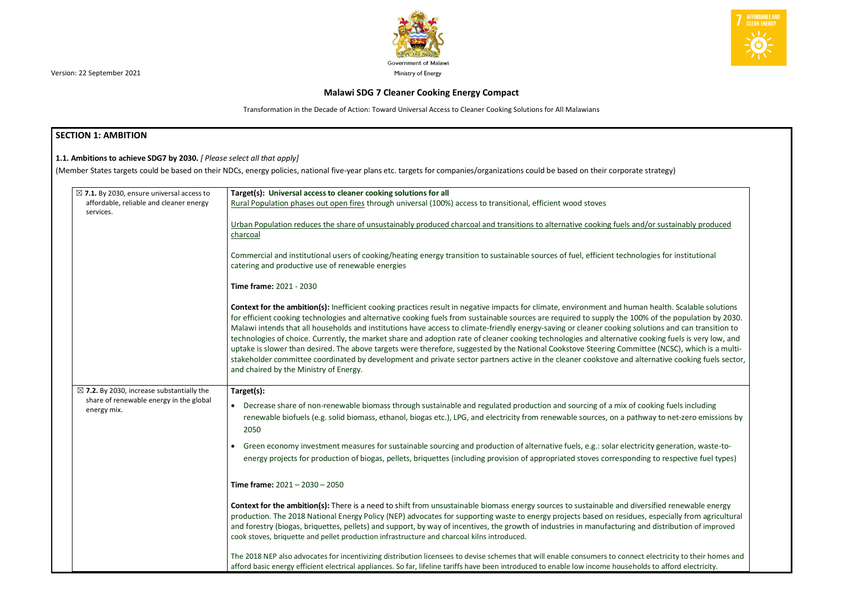

# **Malawi SDG 7 Cleaner Cooking Energy Compact**

Transformation in the Decade of Action: Toward Universal Access to Cleaner Cooking Solutions for All Malawians

# **SECTION 1: AMBITION**

| 1.1. Ambitions to achieve SDG7 by 2030. [ Please select all that apply]                                                  | (Member States targets could be based on their NDCs, energy policies, national five-year plans etc. targets for companies/organizations could be based on their corporate strategy)                                                                                                                                                                                                                                                                                                                                                                                                                                                                                                                                                                                                                                                                                                                                                                                              |  |  |  |
|--------------------------------------------------------------------------------------------------------------------------|----------------------------------------------------------------------------------------------------------------------------------------------------------------------------------------------------------------------------------------------------------------------------------------------------------------------------------------------------------------------------------------------------------------------------------------------------------------------------------------------------------------------------------------------------------------------------------------------------------------------------------------------------------------------------------------------------------------------------------------------------------------------------------------------------------------------------------------------------------------------------------------------------------------------------------------------------------------------------------|--|--|--|
| $\boxtimes$ 7.1. By 2030, ensure universal access to<br>Target(s): Universal access to cleaner cooking solutions for all |                                                                                                                                                                                                                                                                                                                                                                                                                                                                                                                                                                                                                                                                                                                                                                                                                                                                                                                                                                                  |  |  |  |
| affordable, reliable and cleaner energy<br>services.                                                                     | Rural Population phases out open fires through universal (100%) access to transitional, efficient wood stoves                                                                                                                                                                                                                                                                                                                                                                                                                                                                                                                                                                                                                                                                                                                                                                                                                                                                    |  |  |  |
|                                                                                                                          | Urban Population reduces the share of unsustainably produced charcoal and transitions to alternative cooking fuels and/or sustainably produced<br>charcoal                                                                                                                                                                                                                                                                                                                                                                                                                                                                                                                                                                                                                                                                                                                                                                                                                       |  |  |  |
|                                                                                                                          | Commercial and institutional users of cooking/heating energy transition to sustainable sources of fuel, efficient technologies for institutional<br>catering and productive use of renewable energies                                                                                                                                                                                                                                                                                                                                                                                                                                                                                                                                                                                                                                                                                                                                                                            |  |  |  |
|                                                                                                                          | <b>Time frame: 2021 - 2030</b>                                                                                                                                                                                                                                                                                                                                                                                                                                                                                                                                                                                                                                                                                                                                                                                                                                                                                                                                                   |  |  |  |
|                                                                                                                          | Context for the ambition(s): Inefficient cooking practices result in negative impacts for climate, environment and human health. Scalable solutions<br>for efficient cooking technologies and alternative cooking fuels from sustainable sources are required to supply the 100% of the population by 2030.<br>Malawi intends that all households and institutions have access to climate-friendly energy-saving or cleaner cooking solutions and can transition to<br>technologies of choice. Currently, the market share and adoption rate of cleaner cooking technologies and alternative cooking fuels is very low, and<br>uptake is slower than desired. The above targets were therefore, suggested by the National Cookstove Steering Committee (NCSC), which is a multi-<br>stakeholder committee coordinated by development and private sector partners active in the cleaner cookstove and alternative cooking fuels sector,<br>and chaired by the Ministry of Energy. |  |  |  |
| $\boxtimes$ 7.2. By 2030, increase substantially the                                                                     | Target(s):                                                                                                                                                                                                                                                                                                                                                                                                                                                                                                                                                                                                                                                                                                                                                                                                                                                                                                                                                                       |  |  |  |
| share of renewable energy in the global<br>energy mix.                                                                   | Decrease share of non-renewable biomass through sustainable and regulated production and sourcing of a mix of cooking fuels including<br>$\bullet$<br>renewable biofuels (e.g. solid biomass, ethanol, biogas etc.), LPG, and electricity from renewable sources, on a pathway to net-zero emissions by<br>2050                                                                                                                                                                                                                                                                                                                                                                                                                                                                                                                                                                                                                                                                  |  |  |  |
|                                                                                                                          | • Green economy investment measures for sustainable sourcing and production of alternative fuels, e.g.: solar electricity generation, waste-to-<br>energy projects for production of biogas, pellets, briquettes (including provision of appropriated stoves corresponding to respective fuel types)                                                                                                                                                                                                                                                                                                                                                                                                                                                                                                                                                                                                                                                                             |  |  |  |
|                                                                                                                          | Time frame: $2021 - 2030 - 2050$                                                                                                                                                                                                                                                                                                                                                                                                                                                                                                                                                                                                                                                                                                                                                                                                                                                                                                                                                 |  |  |  |
|                                                                                                                          | Context for the ambition(s): There is a need to shift from unsustainable biomass energy sources to sustainable and diversified renewable energy<br>production. The 2018 National Energy Policy (NEP) advocates for supporting waste to energy projects based on residues, especially from agricultural<br>and forestry (biogas, briquettes, pellets) and support, by way of incentives, the growth of industries in manufacturing and distribution of improved<br>cook stoves, briquette and pellet production infrastructure and charcoal kilns introduced.                                                                                                                                                                                                                                                                                                                                                                                                                     |  |  |  |
|                                                                                                                          | The 2018 NEP also advocates for incentivizing distribution licensees to devise schemes that will enable consumers to connect electricity to their homes and<br>afford basic energy efficient electrical appliances. So far, lifeline tariffs have been introduced to enable low income households to afford electricity.                                                                                                                                                                                                                                                                                                                                                                                                                                                                                                                                                                                                                                                         |  |  |  |

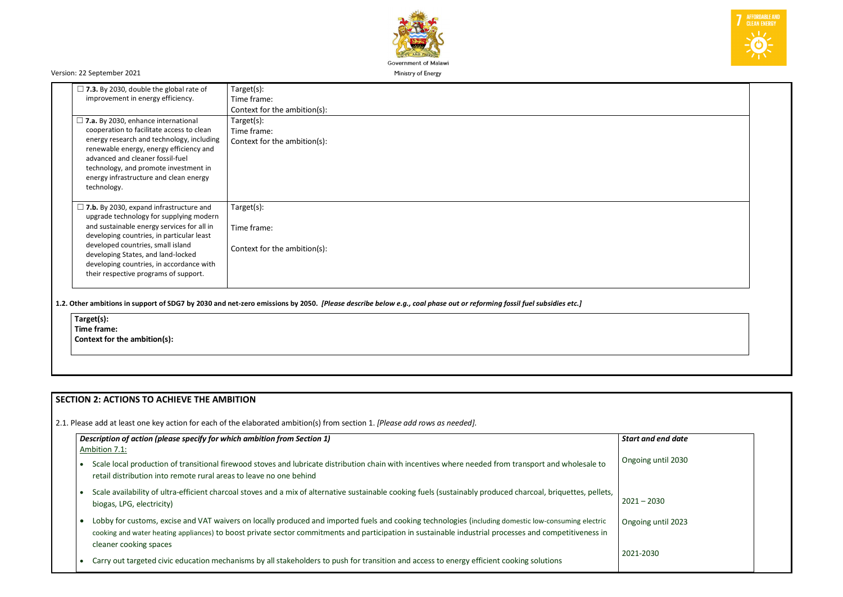

| $\Box$ 7.3. By 2030, double the global rate of<br>improvement in energy efficiency.                                                                                                                                                                                                                                                                  | Target(s):<br>Time frame:<br>Context for the ambition(s): |
|------------------------------------------------------------------------------------------------------------------------------------------------------------------------------------------------------------------------------------------------------------------------------------------------------------------------------------------------------|-----------------------------------------------------------|
| $\Box$ 7.a. By 2030, enhance international<br>cooperation to facilitate access to clean<br>energy research and technology, including<br>renewable energy, energy efficiency and<br>advanced and cleaner fossil-fuel<br>technology, and promote investment in<br>energy infrastructure and clean energy<br>technology.                                | Target(s):<br>Time frame:<br>Context for the ambition(s): |
| $\Box$ 7.b. By 2030, expand infrastructure and<br>upgrade technology for supplying modern<br>and sustainable energy services for all in<br>developing countries, in particular least<br>developed countries, small island<br>developing States, and land-locked<br>developing countries, in accordance with<br>their respective programs of support. | Target(s):<br>Time frame:<br>Context for the ambition(s): |

**1.2. Other ambitions in support of SDG7 by 2030 and net-zero emissions by 2050.** *[Please describe below e.g., coal phase out or reforming fossil fuel subsidies etc.]*

| Target(s):                   |
|------------------------------|
| Time frame:                  |
| Context for the ambition(s): |

# **SECTION 2: ACTIONS TO ACHIEVE THE AMBITION**

2.1. Please add at least one key action for each of the elaborated ambition(s) from section 1. *[Please add rows as needed].*

| Description of action (please specify for which ambition from Section 1)<br>Ambition 7.1:                                                                                                                                                                                                                                                | <b>Start</b> |
|------------------------------------------------------------------------------------------------------------------------------------------------------------------------------------------------------------------------------------------------------------------------------------------------------------------------------------------|--------------|
| Scale local production of transitional firewood stoves and lubricate distribution chain with incentives where needed from transport and wholesale to<br>retail distribution into remote rural areas to leave no one behind                                                                                                               | Ongo         |
| Scale availability of ultra-efficient charcoal stoves and a mix of alternative sustainable cooking fuels (sustainably produced charcoal, briquettes, pellets,<br>biogas, LPG, electricity)                                                                                                                                               | 2021         |
| Lobby for customs, excise and VAT waivers on locally produced and imported fuels and cooking technologies (including domestic low-consuming electric<br>cooking and water heating appliances) to boost private sector commitments and participation in sustainable industrial processes and competitiveness in<br>cleaner cooking spaces | Ongo         |
| Carry out targeted civic education mechanisms by all stakeholders to push for transition and access to energy efficient cooking solutions                                                                                                                                                                                                | 2021-        |



| <b>Start and end date</b> |  |
|---------------------------|--|
| Ongoing until 2030        |  |
| $2021 - 2030$             |  |
| Ongoing until 2023        |  |
| 2021-2030                 |  |
|                           |  |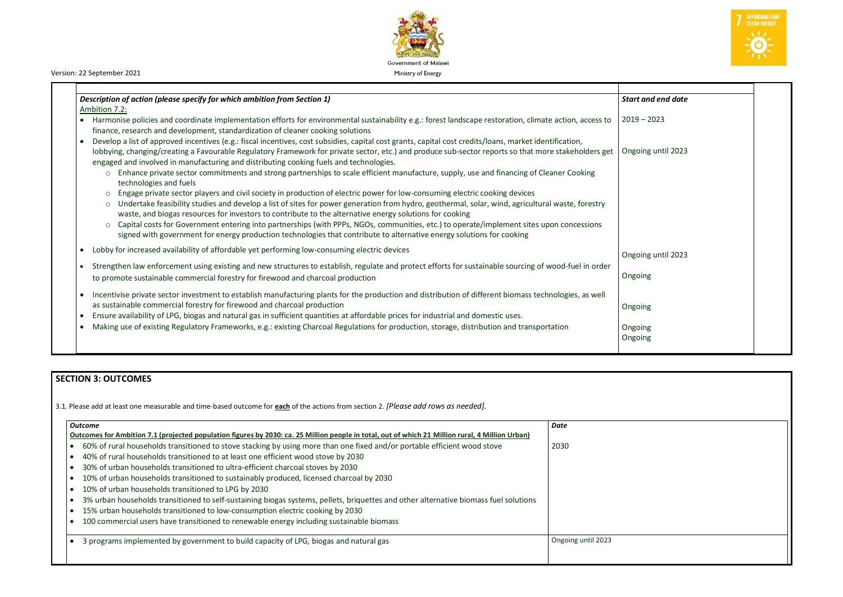

| Description of action (please specify for which ambition from Section 1)<br>Ambition 7.2:                                                                                                                                                                                                                                                                                                                                                                                                                                                                              | <b>Start an</b>    |
|------------------------------------------------------------------------------------------------------------------------------------------------------------------------------------------------------------------------------------------------------------------------------------------------------------------------------------------------------------------------------------------------------------------------------------------------------------------------------------------------------------------------------------------------------------------------|--------------------|
| Harmonise policies and coordinate implementation efforts for environmental sustainability e.g.: forest landscape restoration, climate action, access to<br>finance, research and development, standardization of cleaner cooking solutions                                                                                                                                                                                                                                                                                                                             | $2019 - 2$         |
| Develop a list of approved incentives (e.g.: fiscal incentives, cost subsidies, capital cost grants, capital cost credits/loans, market identification,<br>lobbying, changing/creating a Favourable Regulatory Framework for private sector, etc.) and produce sub-sector reports so that more stakeholders get<br>engaged and involved in manufacturing and distributing cooking fuels and technologies.                                                                                                                                                              | Ongoing            |
| Enhance private sector commitments and strong partnerships to scale efficient manufacture, supply, use and financing of Cleaner Cooking<br>$\circ$<br>technologies and fuels                                                                                                                                                                                                                                                                                                                                                                                           |                    |
| Engage private sector players and civil society in production of electric power for low-consuming electric cooking devices<br>$\circ$<br>Undertake feasibility studies and develop a list of sites for power generation from hydro, geothermal, solar, wind, agricultural waste, forestry<br>$\circ$<br>waste, and biogas resources for investors to contribute to the alternative energy solutions for cooking<br>Capital costs for Government entering into partnerships (with PPPs, NGOs, communities, etc.) to operate/implement sites upon concessions<br>$\circ$ |                    |
| signed with government for energy production technologies that contribute to alternative energy solutions for cooking                                                                                                                                                                                                                                                                                                                                                                                                                                                  |                    |
| Lobby for increased availability of affordable yet performing low-consuming electric devices                                                                                                                                                                                                                                                                                                                                                                                                                                                                           | Ongoing            |
| Strengthen law enforcement using existing and new structures to establish, regulate and protect efforts for sustainable sourcing of wood-fuel in order<br>to promote sustainable commercial forestry for firewood and charcoal production                                                                                                                                                                                                                                                                                                                              | Ongoing            |
| Incentivise private sector investment to establish manufacturing plants for the production and distribution of different biomass technologies, as well<br>as sustainable commercial forestry for firewood and charcoal production                                                                                                                                                                                                                                                                                                                                      | Ongoing            |
| Ensure availability of LPG, biogas and natural gas in sufficient quantities at affordable prices for industrial and domestic uses.<br>Making use of existing Regulatory Frameworks, e.g.: existing Charcoal Regulations for production, storage, distribution and transportation                                                                                                                                                                                                                                                                                       | Ongoing<br>Ongoing |

| <b>Start and end date</b> |  |
|---------------------------|--|
| $2019 - 2023$             |  |
| Ongoing until 2023        |  |
|                           |  |
|                           |  |
|                           |  |
| Ongoing until 2023        |  |
| Ongoing                   |  |
| Ongoing                   |  |
| Ongoing<br>Ongoing        |  |

# **SECTION 3: OUTCOMES**

3.1*.* Please add at least one measurable and time-based outcome for **each** of the actions from section 2. *[Please add rows as needed].*

| <b>Outcome</b>                                                                                                                                   | Date               |
|--------------------------------------------------------------------------------------------------------------------------------------------------|--------------------|
| Outcomes for Ambition 7.1 (projected population figures by 2030: ca. 25 Million people in total, out of which 21 Million rural, 4 Million Urban) |                    |
| 60% of rural households transitioned to stove stacking by using more than one fixed and/or portable efficient wood stove                         | 2030               |
| 40% of rural households transitioned to at least one efficient wood stove by 2030                                                                |                    |
| 30% of urban households transitioned to ultra-efficient charcoal stoves by 2030                                                                  |                    |
| 10% of urban households transitioned to sustainably produced, licensed charcoal by 2030                                                          |                    |
| 10% of urban households transitioned to LPG by 2030                                                                                              |                    |
| 3% urban households transitioned to self-sustaining biogas systems, pellets, briquettes and other alternative biomass fuel solutions             |                    |
| 15% urban households transitioned to low-consumption electric cooking by 2030                                                                    |                    |
| 100 commercial users have transitioned to renewable energy including sustainable biomass                                                         |                    |
| 3 programs implemented by government to build capacity of LPG, biogas and natural gas                                                            | Ongoing until 2023 |
|                                                                                                                                                  |                    |
|                                                                                                                                                  |                    |

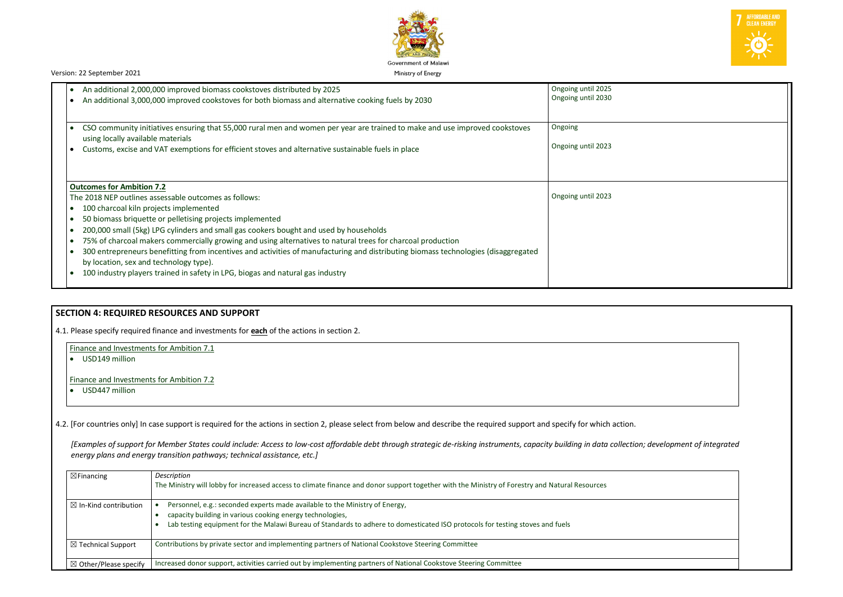

| An additional 2,000,000 improved biomass cookstoves distributed by 2025<br>$\bullet$                                                                                          | Ongoing until 2025 |
|-------------------------------------------------------------------------------------------------------------------------------------------------------------------------------|--------------------|
| An additional 3,000,000 improved cookstoves for both biomass and alternative cooking fuels by 2030                                                                            | Ongoing until 2030 |
| CSO community initiatives ensuring that 55,000 rural men and women per year are trained to make and use improved cookstoves<br>$\bullet$<br>using locally available materials | Ongoing            |
| Customs, excise and VAT exemptions for efficient stoves and alternative sustainable fuels in place                                                                            | Ongoing until 2023 |
|                                                                                                                                                                               |                    |
| <b>Outcomes for Ambition 7.2</b>                                                                                                                                              |                    |
| The 2018 NEP outlines assessable outcomes as follows:                                                                                                                         | Ongoing until 2023 |
| 100 charcoal kiln projects implemented<br>$\bullet$                                                                                                                           |                    |
| 50 biomass briquette or pelletising projects implemented<br>$\bullet$                                                                                                         |                    |
| 200,000 small (5kg) LPG cylinders and small gas cookers bought and used by households                                                                                         |                    |
| 75% of charcoal makers commercially growing and using alternatives to natural trees for charcoal production                                                                   |                    |
| 300 entrepreneurs benefitting from incentives and activities of manufacturing and distributing biomass technologies (disaggregated                                            |                    |
| by location, sex and technology type).                                                                                                                                        |                    |

# **SECTION 4: REQUIRED RESOURCES AND SUPPORT**

4.1. Please specify required finance and investments for **each** of the actions in section 2.

Finance and Investments for Ambition 7.1

• USD149 million

Finance and Investments for Ambition 7.2

• USD447 million

4.2. [For countries only] In case support is required for the actions in section 2, please select from below and describe the required support and specify for which action.

*[Examples of support for Member States could include: Access to low-cost affordable debt through strategic de-risking instruments, capacity building in data collection; development of integrated energy plans and energy transition pathways; technical assistance, etc.]*

| $\boxtimes$ Financing            | Description<br>The Ministry will lobby for increased access to climate finance and donor support together with the Ministry of Forestry and Natural Resources                                                                                                             |
|----------------------------------|---------------------------------------------------------------------------------------------------------------------------------------------------------------------------------------------------------------------------------------------------------------------------|
| $\boxtimes$ In-Kind contribution | Personnel, e.g.: seconded experts made available to the Ministry of Energy,<br>capacity building in various cooking energy technologies,<br>Lab testing equipment for the Malawi Bureau of Standards to adhere to domesticated ISO protocols for testing stoves and fuels |
| $\boxtimes$ Technical Support    | Contributions by private sector and implementing partners of National Cookstove Steering Committee                                                                                                                                                                        |
| $\boxtimes$ Other/Please specify | Increased donor support, activities carried out by implementing partners of National Cookstove Steering Committee                                                                                                                                                         |



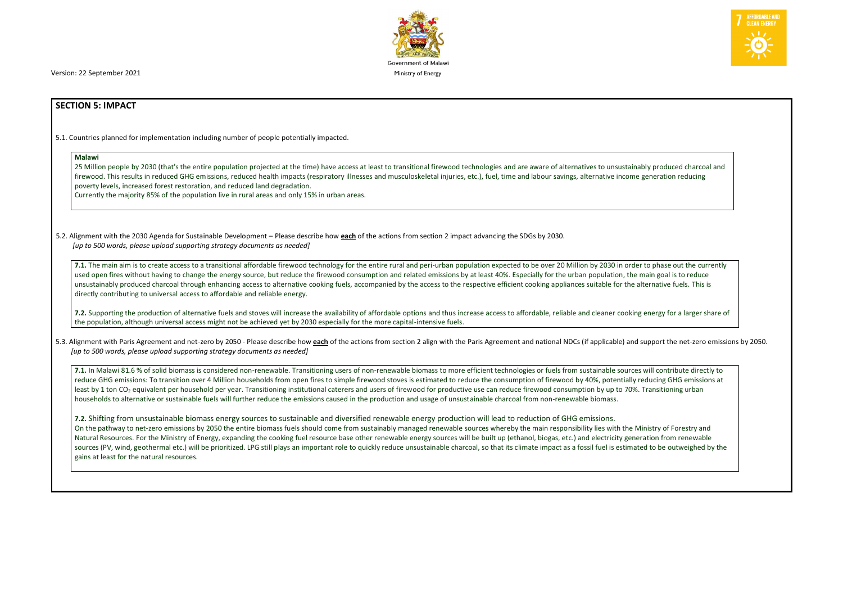Version: 22 September 2021 **Ministry of Energy** and The United States of Energy and The Ministry of Energy

# **SECTION 5: IMPACT**

5.1. Countries planned for implementation including number of people potentially impacted.

### **Malawi**

25 Million people by 2030 (that's the entire population projected at the time) have access at least to transitional firewood technologies and are aware of alternatives to unsustainably produced charcoal and firewood. This results in reduced GHG emissions, reduced health impacts (respiratory illnesses and musculoskeletal injuries, etc.), fuel, time and labour savings, alternative income generation reducing poverty levels, increased forest restoration, and reduced land degradation.

Currently the majority 85% of the population live in rural areas and only 15% in urban areas.

**7.1.** The main aim is to create access to a transitional affordable firewood technology for the entire rural and peri-urban population expected to be over 20 Million by 2030 in order to phase out the currently used open fires without having to change the energy source, but reduce the firewood consumption and related emissions by at least 40%. Especially for the urban population, the main goal is to reduce unsustainably produced charcoal through enhancing access to alternative cooking fuels, accompanied by the access to the respective efficient cooking appliances suitable for the alternative fuels. This is directly contributing to universal access to affordable and reliable energy.

5.2. Alignment with the 2030 Agenda for Sustainable Development – Please describe how **each** of the actions from section 2 impact advancing the SDGs by 2030. *[up to 500 words, please upload supporting strategy documents as needed]* 

5.3. Alignment with Paris Agreement and net-zero by 2050 - Please describe how each of the actions from section 2 align with the Paris Agreement and national NDCs (if applicable) and support the net-zero emissions by 2050. *[up to 500 words, please upload supporting strategy documents as needed]* 

**7.2.** Supporting the production of alternative fuels and stoves will increase the availability of affordable options and thus increase access to affordable, reliable and cleaner cooking energy for a larger share of the population, although universal access might not be achieved yet by 2030 especially for the more capital-intensive fuels.

**7.1.** In Malawi 81.6 % of solid biomass is considered non-renewable. Transitioning users of non-renewable biomass to more efficient technologies or fuels from sustainable sources will contribute directly to reduce GHG emissions: To transition over 4 Million households from open fires to simple firewood stoves is estimated to reduce the consumption of firewood by 40%, potentially reducing GHG emissions at least by 1 ton CO<sub>2</sub> equivalent per household per year. Transitioning institutional caterers and users of firewood for productive use can reduce firewood consumption by up to 70%. Transitioning urban households to alternative or sustainable fuels will further reduce the emissions caused in the production and usage of unsustainable charcoal from non-renewable biomass.

**7.2.** Shifting from unsustainable biomass energy sources to sustainable and diversified renewable energy production will lead to reduction of GHG emissions. On the pathway to net-zero emissions by 2050 the entire biomass fuels should come from sustainably managed renewable sources whereby the main responsibility lies with the Ministry of Forestry and Natural Resources. For the Ministry of Energy, expanding the cooking fuel resource base other renewable energy sources will be built up (ethanol, biogas, etc.) and electricity generation from renewable sources (PV, wind, geothermal etc.) will be prioritized. LPG still plays an important role to quickly reduce unsustainable charcoal, so that its climate impact as a fossil fuel is estimated to be outweighed by the gains at least for the natural resources.



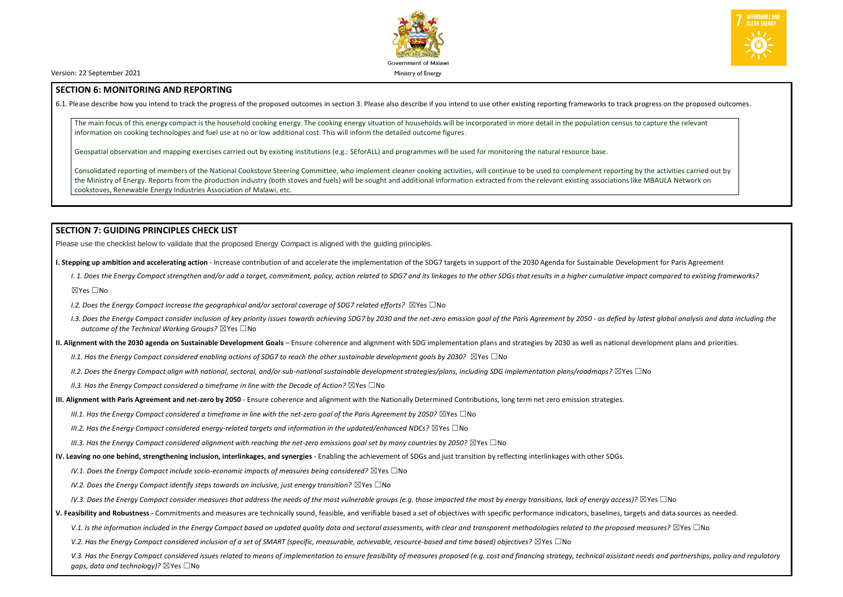

Version: 22 September 2021 **Ministry of Energy** and The United States of Energy and The Ministry of Energy

### **SECTION 6: MONITORING AND REPORTING**

6.1. Please describe how you intend to track the progress of the proposed outcomes in section 3. Please also describe if you intend to use other existing reporting frameworks to track progress on the proposed outcomes.

The main focus of this energy compact is the household cooking energy. The cooking energy situation of households will be incorporated in more detail in the population census to capture the relevant information on cooking technologies and fuel use at no or low additional cost. This will inform the detailed outcome figures.

Geospatial observation and mapping exercises carried out by existing institutions (e.g.: SEforALL) and programmes will be used for monitoring the natural resource base.

I. 1. Does the Energy Compact strengthen and/or add a target, commitment, policy, action related to SDG7 and its linkages to the other SDGs that results in a higher cumulative impact compared to existing frameworks? ☒Yes ☐No

Consolidated reporting of members of the National Cookstove Steering Committee, who implement cleaner cooking activities, will continue to be used to complement reporting by the activities carried out by the Ministry of Energy. Reports from the production industry (both stoves and fuels) will be sought and additional information extracted from the relevant existing associations like MBAULA Network on cookstoves, Renewable Energy Industries Association of Malawi, etc.

## **SECTION 7: GUIDING PRINCIPLES CHECK LIST**

Please use the checklist below to validate that the proposed Energy Compact is aligned with the guiding principles.

**I. Stepping up ambition and accelerating action** - Increase contribution of and accelerate the implementation of the SDG7 targets in support of the 2030 Agenda for Sustainable Development for Paris Agreement

- *I.2. Does the Energy Compact increase the geographical and/or sectoral coverage of SDG7 related efforts?* ⊠Yes □No
- I.3. Does the Energy Compact consider inclusion of key priority issues towards achieving SDG7 by 2030 and the net-zero emission goal of the Paris Agreement by 2050 as defied by latest global analysis and data including t *outcome of the Technical Working Groups?* ☒Yes ☐No
- **II. Alignment with the 2030 agenda on Sustainable Development Goals** Ensure coherence and alignment with SDG implementation plans and strategies by 2030 as well as national development plans and priorities.
	- *II.1. Has the Energy Compact considered enabling actions of SDG7 to reach the other sustainable development goals by 2030?* ⊠Yes □No
	- *II.2. Does the Energy Compact align with national, sectoral, and/or sub-national sustainable development strategies/plans, including SDG implementation plans/roadmaps?* ☒Yes ☐No
	- *II.3. Has the Energy Compact considered a timeframe in line with the Decade of Action?* ⊠Yes □No
- **III. Alignment with Paris Agreement and net-zero by 2050** Ensure coherence and alignment with the Nationally Determined Contributions, long term net zero emission strategies.

*III.1. Has the Energy Compact considered a timeframe in line with the net-zero goal of the Paris Agreement by 2050?* ⊠Yes □No

*III.2. Has the Energy Compact considered energy-related targets and information in the updated/enhanced NDCs?* ⊠Yes □No

*III.3. Has the Energy Compact considered alignment with reaching the net-zero emissions goal set by many countries by 2050?* ⊠Yes □No

- **IV. Leaving no one behind, strengthening inclusion, interlinkages, and synergies** Enabling the achievement of SDGs and just transition by reflecting interlinkages with other SDGs.
	- *IV.1. Does the Energy Compact include socio-economic impacts of measures being considered?* ⊠Yes □No

*IV.2. Does the Energy Compact identify steps towards an inclusive, just energy transition?* ⊠Yes □No

*IV.3. Does the Energy Compact consider measures that address the needs of the most vulnerable groups (e.g. those impacted the most by energy transitions, lack of energy access)?* ⊠Yes □No

**V. Feasibility and Robustness -** Commitments and measures are technically sound, feasible, and verifiable based a set of objectives with specific performance indicators, baselines, targets and data sources as needed.

V.1. Is the information included in the Energy Compact based on updated quality data and sectoral assessments, with clear and transparent methodologies related to the proposed measures? ⊠Yes □No

*V.2. Has the Energy Compact considered inclusion of a set of SMART (specific, measurable, achievable, resource-based and time based) objectives?* ⊠Yes □No

V.3. Has the Energy Compact considered issues related to means of implementation to ensure feasibility of measures proposed (e.g. cost and financing strategy, technical assistant needs and partnerships, policy and regulato *gaps, data and technology*)? ⊠Yes □No